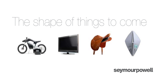### The shape of things to come









### seymourpowell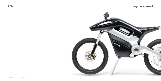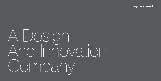## A Design And Innovation Company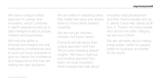We have a unique holistic approach to design and innovation, which combines in-depth experience and up to date intelligence about people, markets and businesses.

We have the ability to forecast and interpret the vital implications of behaviours and to work out future scenarios to give our clients the confidence and reassurance that they are making the right decisions.

We are skilled in exploiting ideas that create real value and always strive to move clients forward creatively.

We are not just visionary thinkers, but future 'doers'.

Everyone will talk about their unique approach and their TM process revealing deeper insights. We have a rigorous and creative approach but that's not really important, there's people who *talk* about innovation and development and then there's people who do it, deliver it and help clients profit from it. There's not many people who fall into the latter category, we are one of them.

We are ultimately about making things better: better for people, better for business and better for the world.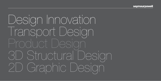## Design Innovation, Transport Design 3D Structural Design 2D Graphic Design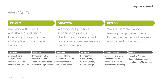### What We Do

We work with clients and share our ability to forecast and interpret the vital implications of human behaviour.

#### **INSIGHT STRATEGY DESIGN**

We work out possible scenarios to give our clients the confidence and reassurance they are making the right decision.

We are ultimately about making things better: better for people, better for business and better for the world.

| <b>FORENSICS</b>               | <b>FORESIGHT</b>             | <b>PLANNING</b>            | <b>STRATEGY</b>          | CONCEPT + DESIGN          | <b>DELIVERY</b>            |
|--------------------------------|------------------------------|----------------------------|--------------------------|---------------------------|----------------------------|
| <b>Business Forensics</b>      | <b>Ethnographic Studies</b>  | Scenario Planning          | <b>Business Strategy</b> | Ergonomics and Styling    | Interactive Animation      |
| <b>Design Forensics</b>        | Observation Labs             | Commercial Planning        | <b>Brand Strategy</b>    | <b>Concept Generating</b> | Supply Chain and Logistics |
| <b>Technical Forensics</b>     | Trend & Category Mapping     | <b>Financial Modelling</b> | Portfolio Strategy       | Design Development        | Manufacturing Management   |
| <b>Manufacturing Forensics</b> | <b>Consumer Segmentation</b> | Market Intelligence        | <b>Design Strategy</b>   | Prototype and Modeling    |                            |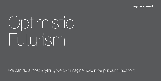# Optimistic Futurism

We can do almost anything we can imagine now, if we put our minds to it.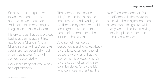So now it's no longer down to what we can do – it's about what we should do. And that takes more than just imagination, it takes wisdom.

History tells us that before great business can happen, it first has to be a Mission. And a Mission starts with a Dream. As designers, we potentially hold enormous power. And with it comes responsibility.

We wield it imaginatively, wisely and optimistically.

The secret of the 'next big thing' isn't lurking inside the 'consumers' head, waiting to be liberated by some wellpaid focus group. It's inside the heads of the dreamers, the futurists, the Utopians.

And sometimes we get despondent and knocked-back by the beancounters who tell us we're wrong and that the 'consumer' is always right. Or by the supply chain who say it can't be done. Or by the MD who can't see further than his

own Excel spreadsheet. But the difference is that we're the ones with the imagination to see beyond what things are, which is why we applied for art college in the first place, rather than accountancy or law.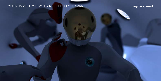#### VIRGIN GALACTIC 'A NEW ERA IN THE HISTORY OF MANKIND.'

#### seymourpowell

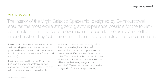#### VIRGIN GALACTIC

The interior of the Virgin Galactic Spaceship, designed by Seymourpowell, ensures the most exhilarating zero gravity experience possible for the touristastronauts, so that the seats allow maximum space for the astronauts to float around in when they 'submarine' and release the astronauts at the critical moment.

There are also fifteen windows in total in the craft, including floor windows for the best possible views of the earth (with metal frames to hold onto when the astronauts float around the cabin).

The journey onboard the Virgin Galactic will begin on a runway (rather than a launch pad, as with a conventional rocket). The craft will be carried underneath a mother ship

to almost 10 miles above sea level, before the countdown begins and the craft is released from the mother ship, accelerating passengers at 4G to a speed faster than a bullet. The spaceship will come back into the earth's atmosphere in a shuttlecock formation with unique 'feathering' wings and, at around 50,000 feet, will return to a glider-like configuration for the spaceport landing.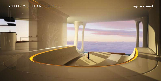#### AIRCRUISE 'A CLIPPER IN THE CLOUDS...'

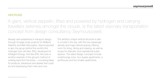#### **AIRCRUISE**

A giant, vertical zeppelin, lifted and powered by hydrogen and carrying travellers serenely amongst the clouds, is the latest visionary transportation concept from design consultancy Seymourpowell.

Already well-established in transport design through its large-scale projects for Midland Mainline and Bell Helicopters, Seymourpowell is also the group behind the world's first hydrogen fuel cell bike, ENV, developed for Intelligent Energy. And like ENV, Aircruise is another example of the group's method of working back from the future – conceiving ideas for products, behaviours and desires that could be and developing them here and now.

The airship's unique vertical structure is akin to a hotel in the sky, with the low passenger density and huge internal spaces offering room for living, dining and relaxing, as well as scope for dramatic and inspirational public spaces. The latest design concepts include a bar/lounge zone, four duplex apartments, a penthouse and five smaller apartments.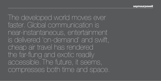The developed world moves ever faster. Global communication is near-instantaneous, entertainment is delivered 'on-demand' and swift, cheap air travel has rendered the far-flung and exotic readily accessible. The future, it seems, compresses both time and space.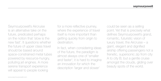Seymourpowell's Aircruise is an alternative take on the future, predicated perhaps on the notion that 'slow is the new fast'. It questions whether the future of upper class travel should be based around space-constrained metal tubes powered by resource-hungry, polluting jet engines. A more serene transport experience will appeal to people looking

for a more reflective journey, where the experience of travel itself is more important than getting quickly from origin to destination.

In fact, when considering ideas of the future, the paradigm is almost always one of 'smaller and faster'; it is hard to imagine an innovation for which the description 'larger and slower'

could be seen as a selling point. Yet that is precisely what defines Seymourpowell's grand, romantic, futuristic vision of luxury travel, the Aircruise – a giant, elegant and dignified airship offering passengers not a frenetic, supersonic zip from city A to city B, but a gentle cruise amongst the clouds, gliding over beauty spots of the world.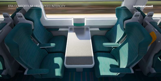#### ERA CONSORTIUM: HIGH SPEED INTERCITY

∍

#### seymourpowell

 $rac{N}{(1-\epsilon)}$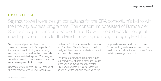#### ERA CONSORTIUM

Seymourpowell were design consultants for the ERA consortium's bid to win the Intercity express programme. The consortium consisted of Bombardier, Siemens, Angel Trains and Babcock and Brown. The bid was to design all new high speed trains for the British network, replacing the aging HST fleet.

Seymourpowell provided the concept design and development of all aspects of the new vehicles, including exterior design and livery options as well as the drivers cab, environment and desk system. The designs considered Intercity, interurban and commuter variants using modular furnishings.

Seymourpowell delivered 3D CAD models of all areas together with full CMF schedule of

finishes for 3 colour schemes, both standard and first class. Similarly, Seymourpowell designed the all new bar and retail concept, and new toilet designs.

The final output involved producing super real animations, of both exterior and interior of the vehicles. Using specially created HDRI environments our digital team were able to show the vehicles operating on their

proposed route and station environments. Motion tracking software was used on the interior shots to show the environment from a realistic passenger viewpoint.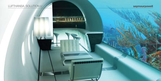#### LUFTHANSA: SOLUTION U

 $\mathbf{I}$ 

11144111

seymourpowell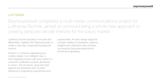#### LUFTHANSA

Seymourpowell completed a multi-media communications project for Lufthansa Technik, aimed at communicating a whole new approach to creating bespoke aircraft interiors for the luxury market.

Lufthansa Technik decided to innovate and differentiate, together with Seymourpowell, to create a new way of approaching bespoke interiors.

Solution U combines engineering and creative design in an intelligent way: a fully-integrated process with every aspect of customer modification projects developed in unison. The emotional, visual and style aspects are developed with constant reference to engineering requirements and

opportunities. At every design stage the complex realities of operations, systems, weights and certification was checked, successfully fusing aeronautical and emotional engineering.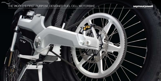#### THE WORLD'S FIRST PURPOSE DESIGNED FUEL CELL MOTORBIKE

seymourpowell

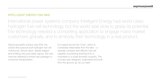#### INTELLIGENT ENERGY ENV BIKE

International power systems company Intelligent Energy had world-class hydrogen fuel cell technology, but the world was slow to grasp its potential. The technology needed a compelling application to engage mass-market customers globally, and to embody their technology in a real product.

Seymourpowell's solution was ENV: the world's first purpose-built hydrogen fuel cell motorcycle. Almost silent, sleekly elegant and emitting only pure water vapour, the new machine delivered a whole new paradigm in consumer transportation.

It is based around the 'Core', which is completely detachable from the bike – a radically compact and efficient fuel cell, capable of powering anything from a motorbike to a small domestic property. The concept was designed, engineered and built, from the ground up, by our team.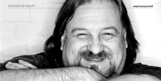#### RICHARD SEYMOUR

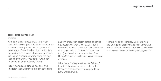#### Richard Seymour

#### Director

As one of Britain's best-known and most accomplished designers, Richard Seymour has a career spanning more than 30 years and a huge range of creative disciplines. In this time he has become a global champion for design, picking up numerous awards along the way, including the D&AD President's Award for Outstanding Contribution to Design.

Initially trained as a graphic designer and illustrator, Richard moved through advertising

and film production design before launching Seymourpowell with Dick Powell in 1984. Richard is now also consultant global creative director of design to Unilever's Dove, Axe (Lynx) and Vaseline brands, a trustee of the Design Museum in London and a past president of D&AD.

When he isn't designing them (or falling off them), Richard enjoys riding motorcycles. He's also a cellist and a keen supporter of Early English Music.

Richard holds an Honorary Doctorate from the College for Creative Studies in Detroit, an Honorary Masters from the Surrey Institute and is also a senior fellow of the Royal College of Art.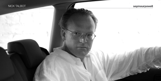#### NICK TALBOT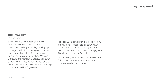#### **NICK TAI ROT**

#### Design Director

Since joining Seymourpowell in 1994, Nick has developed our presence in transportation design, notably heading up the largest industrial design project we have ever undertaken – the £3m interior and exterior development of Midland Mainline / Bombardier's Meridian class 222 trains. On a more stellar note, he also worked on the interiors of the world's first private spaceship, to be launched by Virgin Galactic.

Nick became a director at the group in 1999 and has been responsible for other major projects with clients such as Jaguar, Ford, Honda, Bell Helicopters, British Airways, Virgin Atlantic and Lufthansa Technik.

Most recently, Nick has been involved in the ENV project which created the world's first hydrogen-fuelled motorcycle.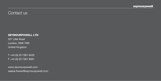### Contact us

#### SEYMOURPOWELL LTD

327 Lillie Road London, SW6 7NR United Kingdom

T +44 (0) 20 7381 6433 F +44 (0) 20 7381 9081

www.seymourpowell.com saskia.frewer@seymourpowell.com